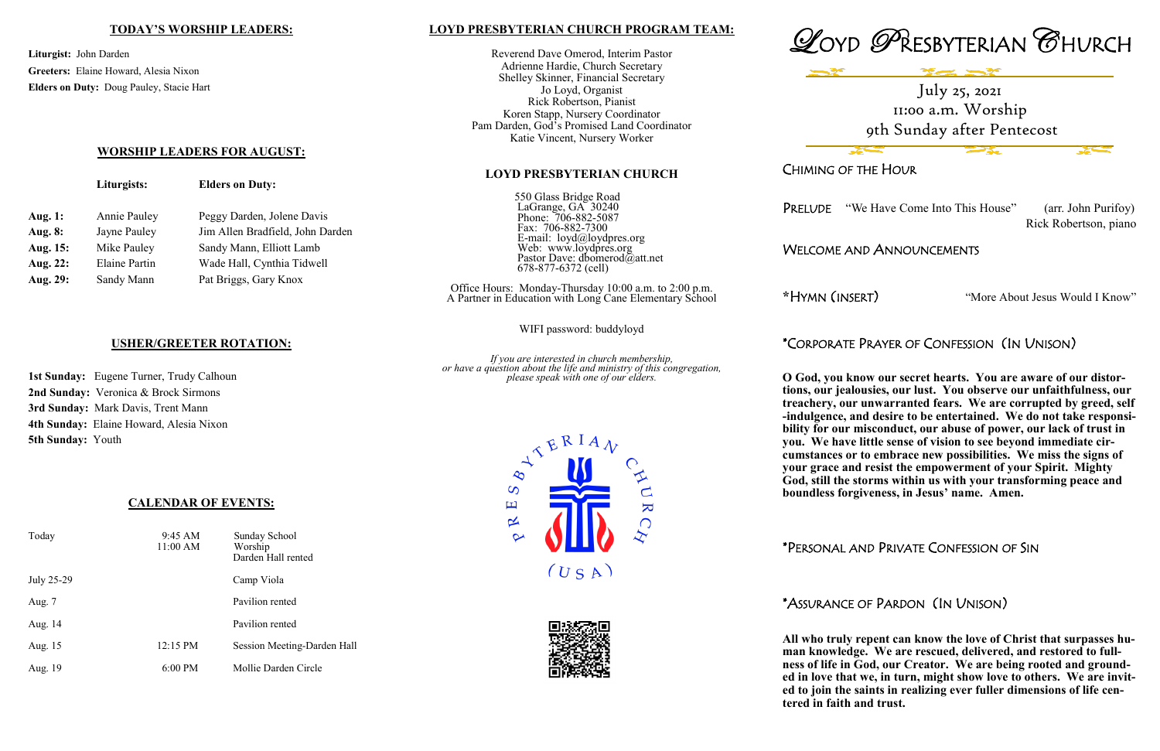### **LOYD PRESBYTERIAN CHURCH PROGRAM TEAM:**

Reverend Dave Omerod, Interim Pastor Adrienne Hardie, Church Secretary Shelley Skinner, Financial Secretary Jo Loyd, Organist Rick Robertson, Pianist Koren Stapp, Nursery Coordinator Pam Darden, God's Promised Land Coordinator Katie Vincent, Nursery Worker

### **LOYD PRESBYTERIAN CHURCH**

550 Glass Bridge Road LaGrange, GA 30240 Phone: 706-882-5087 Fax: 706-882-7300 E-mail: loyd@loydpres.org Web: www.loydpres.org Pastor Dave: dbomerod@att.net 678-877-6372 (cell)

Office Hours: Monday-Thursday 10:00 a.m. to 2:00 p.m. A Partner in Education with Long Cane Elementary School

WIFI password: buddyloyd

*If you are interested in church membership, or have a question about the life and ministry of this congregation, please speak with one of our elders.*









# CHIMING OF THE HOUR

PRELUDE "We Have Come Into This House" (arr. John Purifoy)

Rick Robertson, piano

# WELCOME AND ANNOUNCEMENTS

**\***HYMN (INSERT) "More About Jesus Would I Know"

# \*CORPORATE PRAYER OF CONFESSION (IN UNISON)

**O God, you know our secret hearts. You are aware of our distortions, our jealousies, our lust. You observe our unfaithfulness, our treachery, our unwarranted fears. We are corrupted by greed, self -indulgence, and desire to be entertained. We do not take responsibility for our misconduct, our abuse of power, our lack of trust in you. We have little sense of vision to see beyond immediate circumstances or to embrace new possibilities. We miss the signs of your grace and resist the empowerment of your Spirit. Mighty God, still the storms within us with your transforming peace and boundless forgiveness, in Jesus' name. Amen.** 

## \*PERSONAL AND PRIVATE CONFESSION OF SIN

# \*ASSURANCE OF PARDON (IN UNISON)

**All who truly repent can know the love of Christ that surpasses human knowledge. We are rescued, delivered, and restored to fullness of life in God, our Creator. We are being rooted and grounded in love that we, in turn, might show love to others. We are invited to join the saints in realizing ever fuller dimensions of life centered in faith and trust.**

### **TODAY'S WORSHIP LEADERS:**

**Liturgist:** John Darden **Greeters:** Elaine Howard, Alesia Nixon **Elders on Duty:** Doug Pauley, Stacie Hart

## **WORSHIP LEADERS FOR AUGUST:**

|                | Liturgists:          | <b>Elders on Duty:</b>           |
|----------------|----------------------|----------------------------------|
| <b>Aug. 1:</b> | Annie Pauley         | Peggy Darden, Jolene Davis       |
| <b>Aug. 8:</b> | Jayne Pauley         | Jim Allen Bradfield, John Darden |
| Aug. 15:       | Mike Pauley          | Sandy Mann, Elliott Lamb         |
| Aug. 22:       | <b>Elaine Partin</b> | Wade Hall, Cynthia Tidwell       |
| Aug. 29:       | Sandy Mann           | Pat Briggs, Gary Knox            |
|                |                      |                                  |

# **USHER/GREETER ROTATION:**

**1st Sunday:** Eugene Turner, Trudy Calhoun **2nd Sunday:** Veronica & Brock Sirmons **3rd Sunday:** Mark Davis, Trent Mann **4th Sunday:** Elaine Howard, Alesia Nixon **5th Sunday:** Youth

# **CALENDAR OF EVENTS:**

| Today      | $9:45 \text{ AM}$<br>11:00 AM | Sunday School<br>Worship<br>Darden Hall rented |
|------------|-------------------------------|------------------------------------------------|
| July 25-29 |                               | Camp Viola                                     |
| Aug. 7     |                               | Pavilion rented                                |
| Aug. 14    |                               | Pavilion rented                                |
| Aug. 15    | $12:15 \text{ PM}$            | Session Meeting-Darden Hall                    |
| Aug. 19    | $6:00$ PM                     | Mollie Darden Circle                           |

July 25, 2021 11:00 a.m. Worship 9th Sunday after Pentecost